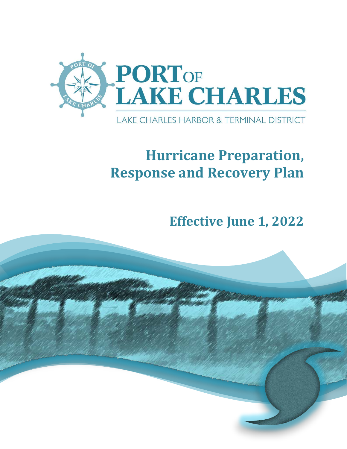

# **Hurricane Preparation, Response and Recovery Plan**

**Effective June 1, 2022**

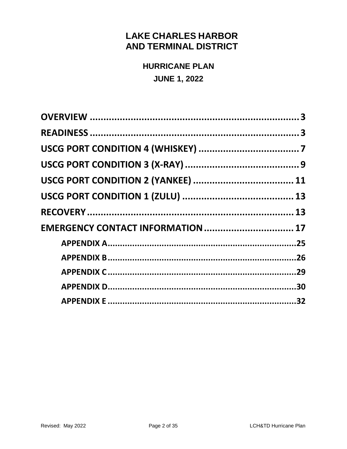## **LAKE CHARLES HARBOR AND TERMINAL DISTRICT**

**HURRICANE PLAN JUNE 1, 2022** 

| EMERGENCY CONTACT INFORMATION  17 |  |
|-----------------------------------|--|
|                                   |  |
|                                   |  |
|                                   |  |
|                                   |  |
|                                   |  |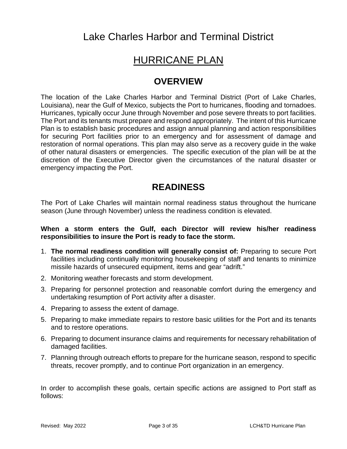Lake Charles Harbor and Terminal District

## HURRICANE PLAN

## <span id="page-2-0"></span>**OVERVIEW**

The location of the Lake Charles Harbor and Terminal District (Port of Lake Charles, Louisiana), near the Gulf of Mexico, subjects the Port to hurricanes, flooding and tornadoes. Hurricanes, typically occur June through November and pose severe threats to port facilities. The Port and its tenants must prepare and respond appropriately. The intent of this Hurricane Plan is to establish basic procedures and assign annual planning and action responsibilities for securing Port facilities prior to an emergency and for assessment of damage and restoration of normal operations. This plan may also serve as a recovery guide in the wake of other natural disasters or emergencies. The specific execution of the plan will be at the discretion of the Executive Director given the circumstances of the natural disaster or emergency impacting the Port.

## <span id="page-2-1"></span>**READINESS**

The Port of Lake Charles will maintain normal readiness status throughout the hurricane season (June through November) unless the readiness condition is elevated.

#### **When a storm enters the Gulf, each Director will review his/her readiness responsibilities to insure the Port is ready to face the storm.**

- 1. **The normal readiness condition will generally consist of:** Preparing to secure Port facilities including continually monitoring housekeeping of staff and tenants to minimize missile hazards of unsecured equipment, items and gear "adrift."
- 2. Monitoring weather forecasts and storm development.
- 3. Preparing for personnel protection and reasonable comfort during the emergency and undertaking resumption of Port activity after a disaster.
- 4. Preparing to assess the extent of damage.
- 5. Preparing to make immediate repairs to restore basic utilities for the Port and its tenants and to restore operations.
- 6. Preparing to document insurance claims and requirements for necessary rehabilitation of damaged facilities.
- 7. Planning through outreach efforts to prepare for the hurricane season, respond to specific threats, recover promptly, and to continue Port organization in an emergency.

In order to accomplish these goals, certain specific actions are assigned to Port staff as follows: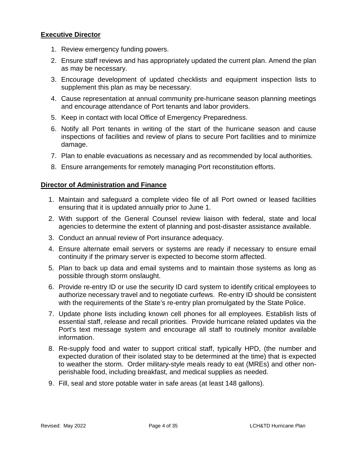#### **Executive Director**

- 1. Review emergency funding powers.
- 2. Ensure staff reviews and has appropriately updated the current plan. Amend the plan as may be necessary.
- 3. Encourage development of updated checklists and equipment inspection lists to supplement this plan as may be necessary.
- 4. Cause representation at annual community pre-hurricane season planning meetings and encourage attendance of Port tenants and labor providers.
- 5. Keep in contact with local Office of Emergency Preparedness.
- 6. Notify all Port tenants in writing of the start of the hurricane season and cause inspections of facilities and review of plans to secure Port facilities and to minimize damage.
- 7. Plan to enable evacuations as necessary and as recommended by local authorities.
- 8. Ensure arrangements for remotely managing Port reconstitution efforts.

#### **Director of Administration and Finance**

- 1. Maintain and safeguard a complete video file of all Port owned or leased facilities ensuring that it is updated annually prior to June 1.
- 2. With support of the General Counsel review liaison with federal, state and local agencies to determine the extent of planning and post-disaster assistance available.
- 3. Conduct an annual review of Port insurance adequacy.
- 4. Ensure alternate email servers or systems are ready if necessary to ensure email continuity if the primary server is expected to become storm affected.
- 5. Plan to back up data and email systems and to maintain those systems as long as possible through storm onslaught.
- 6. Provide re-entry ID or use the security ID card system to identify critical employees to authorize necessary travel and to negotiate curfews. Re-entry ID should be consistent with the requirements of the State's re-entry plan promulgated by the State Police.
- 7. Update phone lists including known cell phones for all employees. Establish lists of essential staff, release and recall priorities. Provide hurricane related updates via the Port's text message system and encourage all staff to routinely monitor available information.
- 8. Re-supply food and water to support critical staff, typically HPD, (the number and expected duration of their isolated stay to be determined at the time) that is expected to weather the storm. Order military-style meals ready to eat (MREs) and other nonperishable food, including breakfast, and medical supplies as needed.
- 9. Fill, seal and store potable water in safe areas (at least 148 gallons).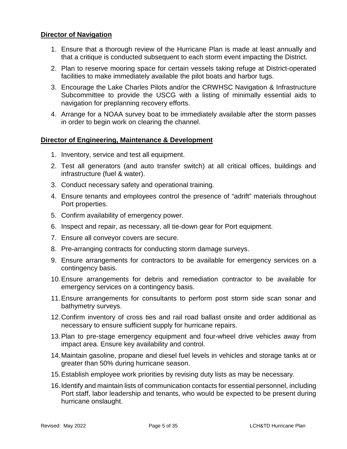#### **Director of Navigation**

- 1. Ensure that a thorough review of the Hurricane Plan is made at least annually and that a critique is conducted subsequent to each storm event impacting the District.
- 2. Plan to reserve mooring space for certain vessels taking refuge at District-operated facilities to make immediately available the pilot boats and harbor tugs.
- 3. Encourage the Lake Charles Pilots and/or the CRWHSC Navigation & Infrastructure Subcommittee to provide the USCG with a listing of minimally essential aids to navigation for preplanning recovery efforts.
- 4. Arrange for a NOAA survey boat to be immediately available after the storm passes in order to begin work on clearing the channel.

#### **Director of Engineering, Maintenance & Development**

- 1. Inventory, service and test all equipment.
- 2. Test all generators (and auto transfer switch) at all critical offices, buildings and infrastructure (fuel & water).
- 3. Conduct necessary safety and operational training.
- 4. Ensure tenants and employees control the presence of "adrift" materials throughout Port properties.
- 5. Confirm availability of emergency power.
- 6. Inspect and repair, as necessary, all tie-down gear for Port equipment.
- 7. Ensure all conveyor covers are secure.
- 8. Pre-arranging contracts for conducting storm damage surveys.
- 9. Ensure arrangements for contractors to be available for emergency services on a contingency basis.
- 10.Ensure arrangements for debris and remediation contractor to be available for emergency services on a contingency basis.
- 11.Ensure arrangements for consultants to perform post storm side scan sonar and bathymetry surveys.
- 12.Confirm inventory of cross ties and rail road ballast onsite and order additional as necessary to ensure sufficient supply for hurricane repairs.
- 13.Plan to pre-stage emergency equipment and four-wheel drive vehicles away from impact area. Ensure key availability and control.
- 14.Maintain gasoline, propane and diesel fuel levels in vehicles and storage tanks at or greater than 50% during hurricane season.
- 15.Establish employee work priorities by revising duty lists as may be necessary.
- 16.Identify and maintain lists of communication contacts for essential personnel, including Port staff, labor leadership and tenants, who would be expected to be present during hurricane onslaught.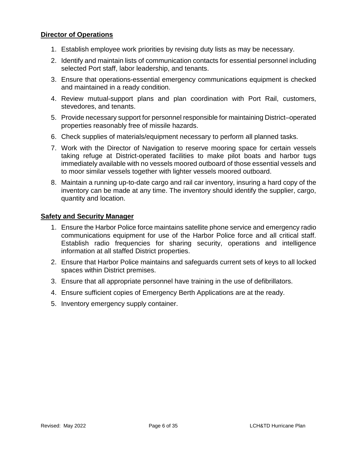#### **Director of Operations**

- 1. Establish employee work priorities by revising duty lists as may be necessary.
- 2. Identify and maintain lists of communication contacts for essential personnel including selected Port staff, labor leadership, and tenants.
- 3. Ensure that operations-essential emergency communications equipment is checked and maintained in a ready condition.
- 4. Review mutual-support plans and plan coordination with Port Rail, customers, stevedores, and tenants.
- 5. Provide necessary support for personnel responsible for maintaining District–operated properties reasonably free of missile hazards.
- 6. Check supplies of materials/equipment necessary to perform all planned tasks.
- 7. Work with the Director of Navigation to reserve mooring space for certain vessels taking refuge at District-operated facilities to make pilot boats and harbor tugs immediately available with no vessels moored outboard of those essential vessels and to moor similar vessels together with lighter vessels moored outboard.
- 8. Maintain a running up-to-date cargo and rail car inventory, insuring a hard copy of the inventory can be made at any time. The inventory should identify the supplier, cargo, quantity and location.

#### **Safety and Security Manager**

- 1. Ensure the Harbor Police force maintains satellite phone service and emergency radio communications equipment for use of the Harbor Police force and all critical staff. Establish radio frequencies for sharing security, operations and intelligence information at all staffed District properties.
- 2. Ensure that Harbor Police maintains and safeguards current sets of keys to all locked spaces within District premises.
- 3. Ensure that all appropriate personnel have training in the use of defibrillators.
- 4. Ensure sufficient copies of Emergency Berth Applications are at the ready.
- 5. Inventory emergency supply container.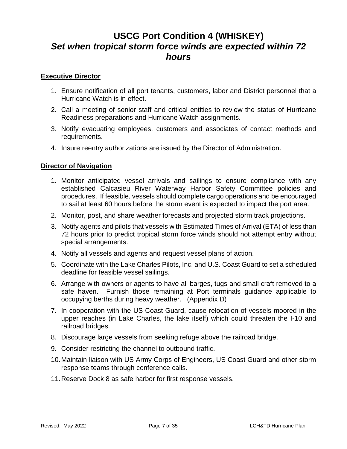## <span id="page-6-0"></span>**USCG Port Condition 4 (WHISKEY)** *Set when tropical storm force winds are expected within 72 hours*

#### **Executive Director**

- 1. Ensure notification of all port tenants, customers, labor and District personnel that a Hurricane Watch is in effect.
- 2. Call a meeting of senior staff and critical entities to review the status of Hurricane Readiness preparations and Hurricane Watch assignments.
- 3. Notify evacuating employees, customers and associates of contact methods and requirements.
- 4. Insure reentry authorizations are issued by the Director of Administration.

#### **Director of Navigation**

- 1. Monitor anticipated vessel arrivals and sailings to ensure compliance with any established Calcasieu River Waterway Harbor Safety Committee policies and procedures. If feasible, vessels should complete cargo operations and be encouraged to sail at least 60 hours before the storm event is expected to impact the port area.
- 2. Monitor, post, and share weather forecasts and projected storm track projections.
- 3. Notify agents and pilots that vessels with Estimated Times of Arrival (ETA) of less than 72 hours prior to predict tropical storm force winds should not attempt entry without special arrangements.
- 4. Notify all vessels and agents and request vessel plans of action.
- 5. Coordinate with the Lake Charles Pilots, Inc. and U.S. Coast Guard to set a scheduled deadline for feasible vessel sailings.
- 6. Arrange with owners or agents to have all barges, tugs and small craft removed to a safe haven. Furnish those remaining at Port terminals guidance applicable to occupying berths during heavy weather. (Appendix D)
- 7. In cooperation with the US Coast Guard, cause relocation of vessels moored in the upper reaches (in Lake Charles, the lake itself) which could threaten the I-10 and railroad bridges.
- 8. Discourage large vessels from seeking refuge above the railroad bridge.
- 9. Consider restricting the channel to outbound traffic.
- 10.Maintain liaison with US Army Corps of Engineers, US Coast Guard and other storm response teams through conference calls.
- 11.Reserve Dock 8 as safe harbor for first response vessels.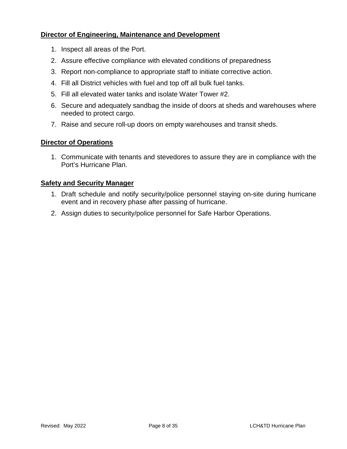#### **Director of Engineering, Maintenance and Development**

- 1. Inspect all areas of the Port.
- 2. Assure effective compliance with elevated conditions of preparedness
- 3. Report non-compliance to appropriate staff to initiate corrective action.
- 4. Fill all District vehicles with fuel and top off all bulk fuel tanks.
- 5. Fill all elevated water tanks and isolate Water Tower #2.
- 6. Secure and adequately sandbag the inside of doors at sheds and warehouses where needed to protect cargo.
- 7. Raise and secure roll-up doors on empty warehouses and transit sheds.

#### **Director of Operations**

1. Communicate with tenants and stevedores to assure they are in compliance with the Port's Hurricane Plan.

#### **Safety and Security Manager**

- 1. Draft schedule and notify security/police personnel staying on-site during hurricane event and in recovery phase after passing of hurricane.
- 2. Assign duties to security/police personnel for Safe Harbor Operations.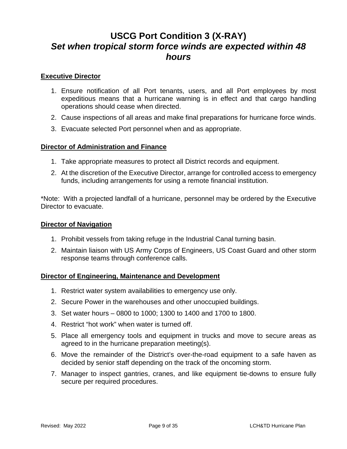## <span id="page-8-0"></span>**USCG Port Condition 3 (X-RAY)** *Set when tropical storm force winds are expected within 48 hours*

#### **Executive Director**

- 1. Ensure notification of all Port tenants, users, and all Port employees by most expeditious means that a hurricane warning is in effect and that cargo handling operations should cease when directed.
- 2. Cause inspections of all areas and make final preparations for hurricane force winds.
- 3. Evacuate selected Port personnel when and as appropriate.

#### **Director of Administration and Finance**

- 1. Take appropriate measures to protect all District records and equipment.
- 2. At the discretion of the Executive Director, arrange for controlled access to emergency funds, including arrangements for using a remote financial institution.

\*Note: With a projected landfall of a hurricane, personnel may be ordered by the Executive Director to evacuate.

#### **Director of Navigation**

- 1. Prohibit vessels from taking refuge in the Industrial Canal turning basin.
- 2. Maintain liaison with US Army Corps of Engineers, US Coast Guard and other storm response teams through conference calls.

#### **Director of Engineering, Maintenance and Development**

- 1. Restrict water system availabilities to emergency use only.
- 2. Secure Power in the warehouses and other unoccupied buildings.
- 3. Set water hours 0800 to 1000; 1300 to 1400 and 1700 to 1800.
- 4. Restrict "hot work" when water is turned off.
- 5. Place all emergency tools and equipment in trucks and move to secure areas as agreed to in the hurricane preparation meeting(s).
- 6. Move the remainder of the District's over-the-road equipment to a safe haven as decided by senior staff depending on the track of the oncoming storm.
- 7. Manager to inspect gantries, cranes, and like equipment tie-downs to ensure fully secure per required procedures.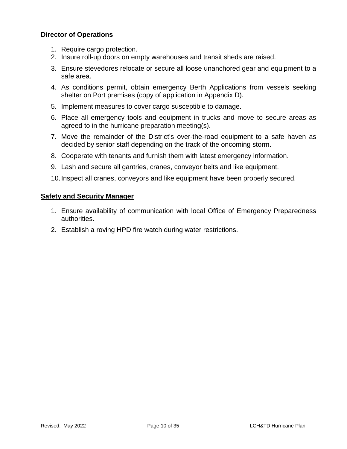#### **Director of Operations**

- 1. Require cargo protection.
- 2. Insure roll-up doors on empty warehouses and transit sheds are raised.
- 3. Ensure stevedores relocate or secure all loose unanchored gear and equipment to a safe area.
- 4. As conditions permit, obtain emergency Berth Applications from vessels seeking shelter on Port premises (copy of application in Appendix D).
- 5. Implement measures to cover cargo susceptible to damage.
- 6. Place all emergency tools and equipment in trucks and move to secure areas as agreed to in the hurricane preparation meeting(s).
- 7. Move the remainder of the District's over-the-road equipment to a safe haven as decided by senior staff depending on the track of the oncoming storm.
- 8. Cooperate with tenants and furnish them with latest emergency information.
- 9. Lash and secure all gantries, cranes, conveyor belts and like equipment.
- 10.Inspect all cranes, conveyors and like equipment have been properly secured.

#### **Safety and Security Manager**

- 1. Ensure availability of communication with local Office of Emergency Preparedness authorities.
- 2. Establish a roving HPD fire watch during water restrictions.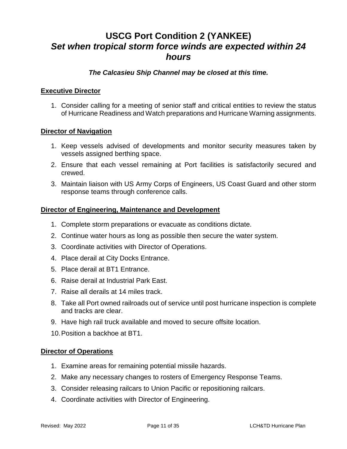## **USCG Port Condition 2 (YANKEE)** *Set when tropical storm force winds are expected within 24 hours*

#### <span id="page-10-0"></span>*The Calcasieu Ship Channel may be closed at this time.*

#### **Executive Director**

1. Consider calling for a meeting of senior staff and critical entities to review the status of Hurricane Readiness and Watch preparations and Hurricane Warning assignments.

#### **Director of Navigation**

- 1. Keep vessels advised of developments and monitor security measures taken by vessels assigned berthing space.
- 2. Ensure that each vessel remaining at Port facilities is satisfactorily secured and crewed.
- 3. Maintain liaison with US Army Corps of Engineers, US Coast Guard and other storm response teams through conference calls.

#### **Director of Engineering, Maintenance and Development**

- 1. Complete storm preparations or evacuate as conditions dictate.
- 2. Continue water hours as long as possible then secure the water system.
- 3. Coordinate activities with Director of Operations.
- 4. Place derail at City Docks Entrance.
- 5. Place derail at BT1 Entrance.
- 6. Raise derail at Industrial Park East.
- 7. Raise all derails at 14 miles track.
- 8. Take all Port owned railroads out of service until post hurricane inspection is complete and tracks are clear.
- 9. Have high rail truck available and moved to secure offsite location.
- 10.Position a backhoe at BT1.

#### **Director of Operations**

- 1. Examine areas for remaining potential missile hazards.
- 2. Make any necessary changes to rosters of Emergency Response Teams.
- 3. Consider releasing railcars to Union Pacific or repositioning railcars.
- 4. Coordinate activities with Director of Engineering.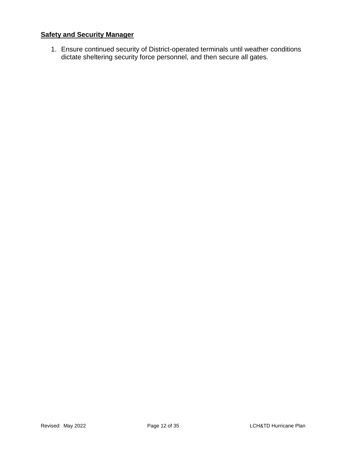### **Safety and Security Manager**

1. Ensure continued security of District-operated terminals until weather conditions dictate sheltering security force personnel, and then secure all gates.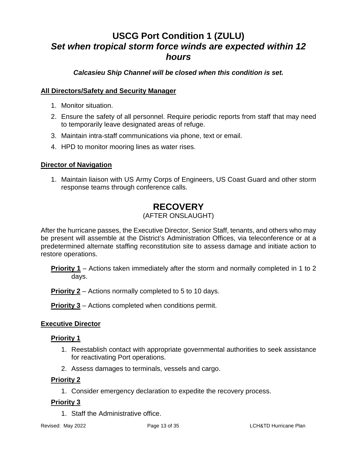## **USCG Port Condition 1 (ZULU)** *Set when tropical storm force winds are expected within 12 hours*

<span id="page-12-0"></span>*Calcasieu Ship Channel will be closed when this condition is set.*

#### **All Directors/Safety and Security Manager**

- 1. Monitor situation.
- 2. Ensure the safety of all personnel. Require periodic reports from staff that may need to temporarily leave designated areas of refuge.
- 3. Maintain intra-staff communications via phone, text or email.
- 4. HPD to monitor mooring lines as water rises.

#### **Director of Navigation**

1. Maintain liaison with US Army Corps of Engineers, US Coast Guard and other storm response teams through conference calls.

# <span id="page-12-1"></span>**RECOVERY**

#### (AFTER ONSLAUGHT)

After the hurricane passes, the Executive Director, Senior Staff, tenants, and others who may be present will assemble at the District's Administration Offices, via teleconference or at a predetermined alternate staffing reconstitution site to assess damage and initiate action to restore operations.

**Priority 1** – Actions taken immediately after the storm and normally completed in 1 to 2 days.

**Priority 2** – Actions normally completed to 5 to 10 days.

**Priority 3** – Actions completed when conditions permit.

#### **Executive Director**

#### **Priority 1**

- 1. Reestablish contact with appropriate governmental authorities to seek assistance for reactivating Port operations.
- 2. Assess damages to terminals, vessels and cargo.

#### **Priority 2**

1. Consider emergency declaration to expedite the recovery process.

#### **Priority 3**

1. Staff the Administrative office.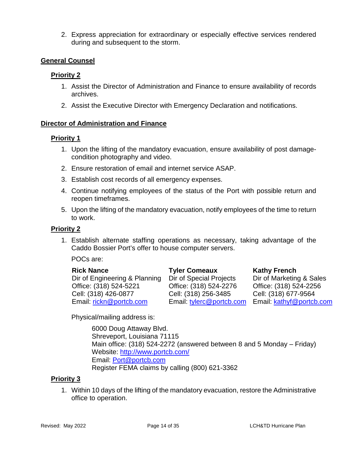2. Express appreciation for extraordinary or especially effective services rendered during and subsequent to the storm.

#### **General Counsel**

#### **Priority 2**

- 1. Assist the Director of Administration and Finance to ensure availability of records archives.
- 2. Assist the Executive Director with Emergency Declaration and notifications.

#### **Director of Administration and Finance**

#### **Priority 1**

- 1. Upon the lifting of the mandatory evacuation, ensure availability of post damagecondition photography and video.
- 2. Ensure restoration of email and internet service ASAP.
- 3. Establish cost records of all emergency expenses.
- 4. Continue notifying employees of the status of the Port with possible return and reopen timeframes.
- 5. Upon the lifting of the mandatory evacuation, notify employees of the time to return to work.

#### **Priority 2**

1. Establish alternate staffing operations as necessary, taking advantage of the Caddo Bossier Port's offer to house computer servers.

POCs are:

Dir of Engineering & Planning Dir of Special Projects Office: (318) 524-5221 Office: (318) 524-2276 Office: (318) 524-2256 Cell: (318) 426-0877 Cell: (318) 256-3485 Cell: (318) 677-9564 Email: [rickn@portcb.com](mailto:rickn@portcb.com) Email: [tylerc@portcb.com](mailto:tylerc@portcb.com) Email: [kathyf@portcb.com](mailto:kathyf@portcb.com)

**Rick Nance Tyler Comeaux Kathy French**<br>
Dir of Engineering & Planning Dir of Special Projects Dir of Marketing & Sales

Physical/mailing address is:

6000 Doug Attaway Blvd. Shreveport, Louisiana 71115 Main office: (318) 524-2272 (answered between 8 and 5 Monday – Friday) Website:<http://www.portcb.com/> Email: [Port@portcb.com](mailto:Port@portcb.com) Register FEMA claims by calling (800) 621-3362

#### **Priority 3**

1. Within 10 days of the lifting of the mandatory evacuation, restore the Administrative office to operation.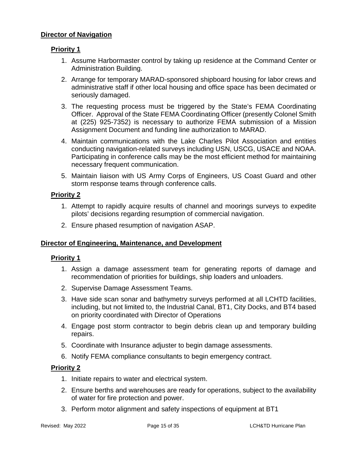#### **Director of Navigation**

#### **Priority 1**

- 1. Assume Harbormaster control by taking up residence at the Command Center or Administration Building.
- 2. Arrange for temporary MARAD-sponsored shipboard housing for labor crews and administrative staff if other local housing and office space has been decimated or seriously damaged.
- 3. The requesting process must be triggered by the State's FEMA Coordinating Officer. Approval of the State FEMA Coordinating Officer (presently Colonel Smith at (225) 925-7352) is necessary to authorize FEMA submission of a Mission Assignment Document and funding line authorization to MARAD.
- 4. Maintain communications with the Lake Charles Pilot Association and entities conducting navigation-related surveys including USN, USCG, USACE and NOAA. Participating in conference calls may be the most efficient method for maintaining necessary frequent communication.
- 5. Maintain liaison with US Army Corps of Engineers, US Coast Guard and other storm response teams through conference calls.

### **Priority 2**

- 1. Attempt to rapidly acquire results of channel and moorings surveys to expedite pilots' decisions regarding resumption of commercial navigation.
- 2. Ensure phased resumption of navigation ASAP.

#### **Director of Engineering, Maintenance, and Development**

#### **Priority 1**

- 1. Assign a damage assessment team for generating reports of damage and recommendation of priorities for buildings, ship loaders and unloaders.
- 2. Supervise Damage Assessment Teams.
- 3. Have side scan sonar and bathymetry surveys performed at all LCHTD facilities, including, but not limited to, the Industrial Canal, BT1, City Docks, and BT4 based on priority coordinated with Director of Operations
- 4. Engage post storm contractor to begin debris clean up and temporary building repairs.
- 5. Coordinate with Insurance adjuster to begin damage assessments.
- 6. Notify FEMA compliance consultants to begin emergency contract.

#### **Priority 2**

- 1. Initiate repairs to water and electrical system.
- 2. Ensure berths and warehouses are ready for operations, subject to the availability of water for fire protection and power.
- 3. Perform motor alignment and safety inspections of equipment at BT1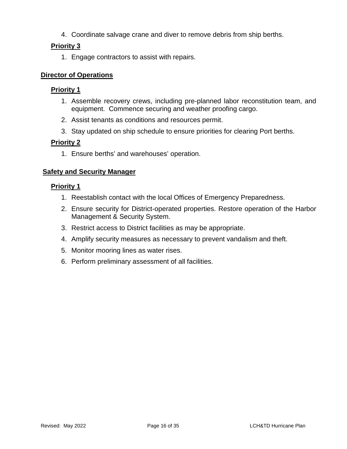4. Coordinate salvage crane and diver to remove debris from ship berths.

### **Priority 3**

1. Engage contractors to assist with repairs.

#### **Director of Operations**

#### **Priority 1**

- 1. Assemble recovery crews, including pre-planned labor reconstitution team, and equipment. Commence securing and weather proofing cargo.
- 2. Assist tenants as conditions and resources permit.
- 3. Stay updated on ship schedule to ensure priorities for clearing Port berths.

#### **Priority 2**

1. Ensure berths' and warehouses' operation.

#### **Safety and Security Manager**

#### **Priority 1**

- 1. Reestablish contact with the local Offices of Emergency Preparedness.
- 2. Ensure security for District-operated properties. Restore operation of the Harbor Management & Security System.
- 3. Restrict access to District facilities as may be appropriate.
- 4. Amplify security measures as necessary to prevent vandalism and theft.
- 5. Monitor mooring lines as water rises.
- 6. Perform preliminary assessment of all facilities.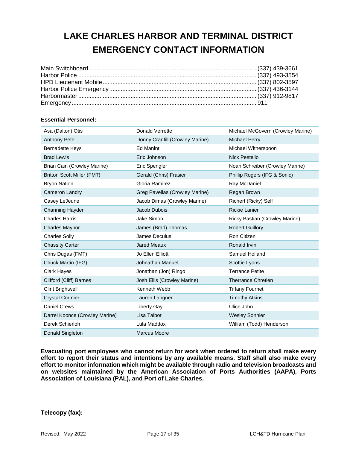## <span id="page-16-0"></span>**LAKE CHARLES HARBOR AND TERMINAL DISTRICT EMERGENCY CONTACT INFORMATION**

#### **Essential Personnel:**

| Asa (Dalton) Otis                 | <b>Donald Verrette</b>          | Michael McGovern (Crowley Marine) |
|-----------------------------------|---------------------------------|-----------------------------------|
| Anthony Pete                      | Donny Cranfill (Crowley Marine) | <b>Michael Perry</b>              |
| <b>Bernadette Keys</b>            | <b>Ed Manint</b>                | Michael Witherspoon               |
| <b>Brad Lewis</b>                 | Eric Johnson                    | <b>Nick Pestello</b>              |
| Brian Cain (Crowley Marine)       | Eric Spengler                   | Noah Schreiber (Crowley Marine)   |
| <b>Britton Scott Miller (FMT)</b> | Gerald (Chris) Frasier          | Phillip Rogers (IFG & Sonic)      |
| <b>Bryon Nation</b>               | Gloria Ramirez                  | Ray McDaniel                      |
| <b>Cameron Landry</b>             | Greg Pavellas (Crowley Marine)  | Regan Brown                       |
| Casey LeJeune                     | Jacob Dimas (Crowley Marine)    | Richert (Ricky) Self              |
| Channing Hayden                   | Jacob Dubois                    | <b>Rickie Lanier</b>              |
| <b>Charles Harris</b>             | Jake Simon                      | Ricky Bastian (Crowley Marine)    |
| <b>Charles Maynor</b>             | James (Brad) Thomas             | <b>Robert Guillory</b>            |
| <b>Charles Solly</b>              | James Deculus                   | Ron Citizen                       |
| <b>Chassity Carter</b>            | <b>Jared Meaux</b>              | Ronald Irvin                      |
| Chris Dugas (FMT)                 | Jo Ellen Elliott                | Samuel Holland                    |
| Chuck Martin (IFG)                | Johnathan Manuel                | Scottie Lyons                     |
| Clark Hayes                       | Jonathan (Jon) Ringo            | <b>Terrance Petite</b>            |
| Clifford (Cliff) Barnes           | Josh Ellis (Crowley Marine)     | <b>Therrance Chretien</b>         |
| <b>Clint Brightwell</b>           | Kenneth Webb                    | <b>Tiffany Fournet</b>            |
| <b>Crystal Cormier</b>            | Lauren Langner                  | <b>Timothy Atkins</b>             |
| <b>Daniel Crews</b>               | <b>Liberty Gay</b>              | Ulice John                        |
| Darrel Koonce (Crowley Marine)    | Lisa Talbot                     | <b>Wesley Sonnier</b>             |
| Derek Schierloh                   | Lula Maddox                     | William (Todd) Henderson          |
| Donald Singleton                  | Marcus Moore                    |                                   |

**Evacuating port employees who cannot return for work when ordered to return shall make every effort to report their status and intentions by any available means. Staff shall also make every effort to monitor information which might be available through radio and television broadcasts and on websites maintained by the American Association of Ports Authorities (AAPA), Ports Association of Louisiana (PAL), and Port of Lake Charles.**

**Telecopy (fax):**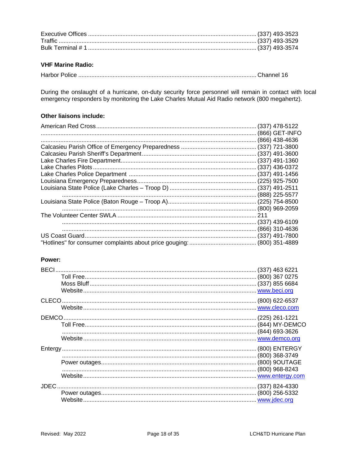#### **VHF Marine Radio:**

|--|--|--|

During the onslaught of a hurricane, on-duty security force personnel will remain in contact with local emergency responders by monitoring the Lake Charles Mutual Aid Radio network (800 megahertz).

#### **Other liaisons include:**

|  |                | $(337)$ 478-5122 |
|--|----------------|------------------|
|  |                | (866) GET-INFO   |
|  |                | (866) 438-4636   |
|  |                |                  |
|  |                |                  |
|  |                |                  |
|  |                |                  |
|  |                |                  |
|  |                |                  |
|  |                |                  |
|  | (888) 225-5577 |                  |
|  |                |                  |
|  |                |                  |
|  |                |                  |
|  |                |                  |
|  |                |                  |
|  |                |                  |
|  |                |                  |

#### Power:

| <b>BECI</b>  | $(337)$ 463 6221 |
|--------------|------------------|
|              |                  |
|              |                  |
|              |                  |
| <b>CLECO</b> |                  |
|              |                  |
| DEMCO.       |                  |
|              |                  |
|              |                  |
|              |                  |
|              |                  |
|              |                  |
|              |                  |
|              |                  |
|              |                  |
| <b>JDEC</b>  |                  |
|              |                  |
|              |                  |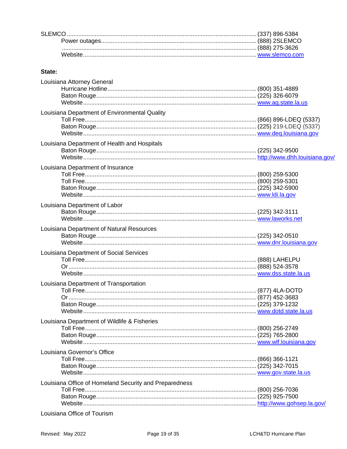#### State:

| Louisiana Attorney General                             |  |
|--------------------------------------------------------|--|
|                                                        |  |
|                                                        |  |
|                                                        |  |
|                                                        |  |
| Louisiana Department of Environmental Quality          |  |
|                                                        |  |
|                                                        |  |
|                                                        |  |
| Louisiana Department of Health and Hospitals           |  |
|                                                        |  |
|                                                        |  |
| Louisiana Department of Insurance                      |  |
|                                                        |  |
|                                                        |  |
|                                                        |  |
|                                                        |  |
|                                                        |  |
| Louisiana Department of Labor                          |  |
|                                                        |  |
|                                                        |  |
| Louisiana Department of Natural Resources              |  |
|                                                        |  |
|                                                        |  |
| Louisiana Department of Social Services                |  |
|                                                        |  |
|                                                        |  |
|                                                        |  |
|                                                        |  |
| Louisiana Department of Transportation                 |  |
|                                                        |  |
|                                                        |  |
|                                                        |  |
|                                                        |  |
| Louisiana Department of Wildlife & Fisheries           |  |
|                                                        |  |
|                                                        |  |
|                                                        |  |
| Louisiana Governor's Office                            |  |
|                                                        |  |
|                                                        |  |
|                                                        |  |
|                                                        |  |
| Louisiana Office of Homeland Security and Preparedness |  |
|                                                        |  |
|                                                        |  |
|                                                        |  |
|                                                        |  |

Louisiana Office of Tourism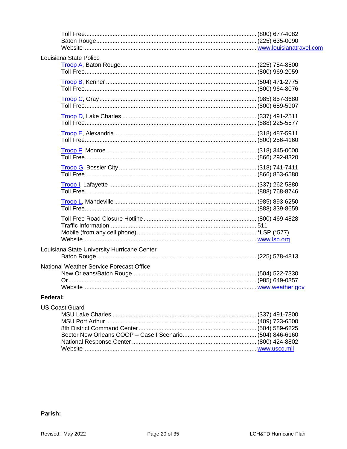| Louisiana State Police                      |  |
|---------------------------------------------|--|
|                                             |  |
|                                             |  |
|                                             |  |
|                                             |  |
|                                             |  |
|                                             |  |
|                                             |  |
|                                             |  |
|                                             |  |
|                                             |  |
| Louisiana State University Hurricane Center |  |
| National Weather Service Forecast Office    |  |
|                                             |  |
| Eadarah.                                    |  |

#### Federal:

| US Coast Guard |  |
|----------------|--|
|                |  |
|                |  |
|                |  |
|                |  |
|                |  |
|                |  |

#### Parish: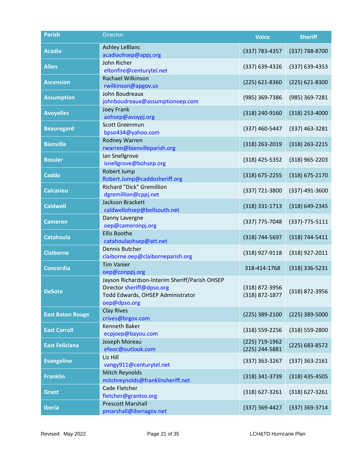| <b>Parish</b>           | <b>Director</b>                                                  | <b>Voice</b>       | <b>Sheriff</b>       |
|-------------------------|------------------------------------------------------------------|--------------------|----------------------|
| <b>Acadia</b>           | <b>Ashley LeBlanc</b>                                            | (337) 783-4357     |                      |
|                         | acadiaohsep@appj.org                                             |                    | (337) 788-8700       |
| <b>Allen</b>            | John Richer                                                      | (337) 639-4326     | (337) 639-4353       |
|                         | eltonfire@centurytel.net                                         |                    |                      |
| <b>Ascension</b>        | Rachael Wilkinson<br>rwilkinson@apgov.us                         | $(225)$ 621-8360   | (225) 621-8300       |
|                         | John Boudreaux                                                   |                    |                      |
| <b>Assumption</b>       | johnboudreaux@assumptionoep.com                                  | (985) 369-7386     | (985) 369-7281       |
| <b>Avoyelles</b>        | <b>Joey Frank</b>                                                | (318) 240-9160     | $(318)$ 253-4000     |
|                         | aohsep@avoypj.org                                                |                    |                      |
| <b>Beauregard</b>       | Scott Greenmun                                                   | (337) 460-5447     | (337) 463-3281       |
|                         | bpso434@yahoo.com                                                |                    |                      |
| <b>Bienville</b>        | <b>Rodney Warren</b>                                             | (318) 263-2019     | $(318)$ 263-2215     |
|                         | rwarren@bienvilleparish.org<br>Ian Snellgrove                    |                    |                      |
| <b>Bossier</b>          | isnellgrove@bohsep.org                                           | (318) 425-5352     | $(318)$ 965-2203     |
|                         | Robert Jump                                                      |                    |                      |
| <b>Caddo</b>            | Robert.Jump@caddosheriff.org                                     | $(318)$ 675-2255   | (318) 675-2170       |
| <b>Calcasieu</b>        | <b>Richard "Dick" Gremillion</b>                                 | (337) 721-3800     | (337)-491-3600       |
|                         | dgremillion@cppj.net                                             |                    |                      |
| <b>Caldwell</b>         | Jackson Brackett                                                 | (318) 331-1713     | (318) 649-2345       |
|                         | caldwellohsep@bellsouth.net                                      |                    |                      |
| <b>Cameron</b>          | Danny Lavergne<br>oep@cameronpj.org                              | (337) 775-7048     | $(337) - 775 - 5111$ |
|                         | <b>Ellis Boothe</b>                                              |                    |                      |
| <b>Catahoula</b>        | catahoulaohsep@att.net                                           | (318) 744-5697     | (318) 744-5411       |
| <b>Claiborne</b>        | Dennis Butcher                                                   | (318) 927-9118     | (318) 927-2011       |
|                         | claiborne.oep@claiborneparish.org                                |                    |                      |
| <b>Concordia</b>        | <b>Tim Vanier</b>                                                | 318-414-1768       | (318) 336-5231       |
|                         | oep@conppj.org<br>Jayson Richardson-Interim Sheriff/Parish OHSEP |                    |                      |
|                         | Director sheriff@dpso.org                                        | (318) 872-3956     |                      |
| <b>DeSoto</b>           | Todd Edwards, OHSEP Administrator                                | (318) 872-1877     | (318) 872-3956       |
|                         | oep@dpso.org                                                     |                    |                      |
| <b>East Baton Rouge</b> | <b>Clay Rives</b>                                                | (225) 389-2100     | (225) 389-5000       |
|                         | crives@brgov.com                                                 |                    |                      |
| <b>East Carroll</b>     | <b>Kenneth Baker</b>                                             | $(318) 559 - 2256$ | (318) 559-2800       |
|                         | ecpjoep@bayou.com<br>Joseph Moreau                               | (225) 719-1962     |                      |
| <b>East Feliciana</b>   | efeoc@outlook.com                                                | (225) 244-5881     | (225) 683-8572       |
|                         | Liz Hill                                                         |                    |                      |
| <b>Evangeline</b>       | vangy911@centurytel.net                                          | $(337)$ 363-3267   | $(337)$ 363-2161     |
| <b>Franklin</b>         | Mitch Reynolds                                                   | (318) 341-3739     | $(318)$ 435-4505     |
|                         | mitchreynolds@franklinsheriff.net                                |                    |                      |
| <b>Grant</b>            | Cade Fletcher                                                    | $(318) 627 - 3261$ | $(318)$ 627-3261     |
|                         | fletcher@grantso.org<br><b>Prescott Marshall</b>                 |                    |                      |
| <b>Iberia</b>           | pmarshall@iberiagov.net                                          | (337) 369-4427     | (337) 369-3714       |
|                         |                                                                  |                    |                      |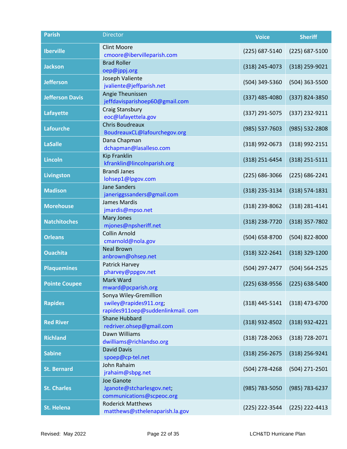| <b>Parish</b>          | <b>Director</b>                                    | <b>Voice</b>       | <b>Sheriff</b>     |
|------------------------|----------------------------------------------------|--------------------|--------------------|
| <b>Iberville</b>       | <b>Clint Moore</b>                                 | (225) 687-5140     | $(225)$ 687-5100   |
|                        | cmoore@ibervilleparish.com                         |                    |                    |
| <b>Jackson</b>         | <b>Brad Roller</b>                                 | (318) 245-4073     | (318) 259-9021     |
|                        | oep@jppj.org                                       |                    |                    |
| <b>Jefferson</b>       | Joseph Valiente                                    | (504) 349-5360     | (504) 363-5500     |
|                        | jvaliente@jeffparish.net<br>Angie Theunissen       |                    |                    |
| <b>Jefferson Davis</b> | jeffdavisparishoep60@gmail.com                     | (337) 485-4080     | (337) 824-3850     |
|                        | Craig Stansbury                                    |                    |                    |
| <b>Lafayette</b>       | eoc@lafayettela.gov                                | (337) 291-5075     | (337) 232-9211     |
|                        | <b>Chris Boudreaux</b>                             |                    |                    |
| <b>Lafourche</b>       | BoudreauxCL@lafourchegov.org                       | (985) 537-7603     | (985) 532-2808     |
| <b>LaSalle</b>         | Dana Chapman                                       | (318) 992-0673     | (318) 992-2151     |
|                        | dchapman@lasalleso.com                             |                    |                    |
| <b>Lincoln</b>         | <b>Kip Franklin</b>                                | (318) 251-6454     | (318) 251-5111     |
|                        | kfranklin@lincolnparish.org<br><b>Brandi Janes</b> |                    |                    |
| <b>Livingston</b>      | lohsep1@lpgov.com                                  | $(225) 686 - 3066$ | (225) 686-2241     |
|                        | <b>Jane Sanders</b>                                |                    |                    |
| <b>Madison</b>         | janeriggssanders@gmail.com                         | (318) 235-3134     | $(318) 574 - 1831$ |
| <b>Morehouse</b>       | James Mardis                                       |                    |                    |
|                        | jmardis@mpso.net                                   | (318) 239-8062     | (318) 281-4141     |
| <b>Natchitoches</b>    | Mary Jones                                         | (318) 238-7720     | (318) 357-7802     |
|                        | mjones@npsheriff.net                               |                    |                    |
| <b>Orleans</b>         | <b>Collin Arnold</b><br>cmarnold@nola.gov          | (504) 658-8700     | (504) 822-8000     |
|                        | <b>Neal Brown</b>                                  |                    |                    |
| <b>Ouachita</b>        | anbrown@ohsep.net                                  | (318) 322-2641     | (318) 329-1200     |
| <b>Plaquemines</b>     | Patrick Harvey                                     | (504) 297-2477     | (504) 564-2525     |
|                        | pharvey@ppgov.net                                  |                    |                    |
| <b>Pointe Coupee</b>   | Mark Ward                                          | (225) 638-9556     | $(225)$ 638-5400   |
|                        | mward@pcparish.org                                 |                    |                    |
| <b>Rapides</b>         | Sonya Wiley-Gremillion<br>swiley@rapides911.org;   | $(318)$ 445-5141   | $(318)$ 473-6700   |
|                        | rapides911oep@suddenlinkmail.com                   |                    |                    |
|                        | <b>Shane Hubbard</b>                               |                    |                    |
| <b>Red River</b>       | redriver.ohsep@gmail.com                           | (318) 932-8502     | (318) 932-4221     |
| <b>Richland</b>        | Dawn Williams                                      | (318) 728-2063     | (318) 728-2071     |
|                        | dwilliams@richlandso.org                           |                    |                    |
| <b>Sabine</b>          | <b>David Davis</b>                                 | $(318)$ 256-2675   | (318) 256-9241     |
|                        | spoep@cp-tel.net<br>John Rahaim                    |                    |                    |
| <b>St. Bernard</b>     | jrahaim@sbpg.net                                   | (504) 278-4268     | (504) 271-2501     |
|                        | Joe Ganote                                         |                    |                    |
| <b>St. Charles</b>     | Jganote@stcharlesgov.net;                          | (985) 783-5050     | (985) 783-6237     |
|                        | communications@scpeoc.org                          |                    |                    |
| <b>St. Helena</b>      | <b>Roderick Matthews</b>                           | (225) 222-3544     | (225) 222-4413     |
|                        | matthews@sthelenaparish.la.gov                     |                    |                    |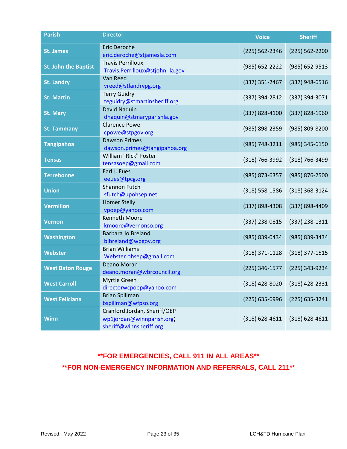| <b>Parish</b>               | <b>Director</b>                                                                     | <b>Voice</b>       | <b>Sheriff</b>     |
|-----------------------------|-------------------------------------------------------------------------------------|--------------------|--------------------|
| <b>St. James</b>            | Eric Deroche<br>eric.deroche@stjamesla.com                                          | $(225) 562 - 2346$ | (225) 562-2200     |
| <b>St. John the Baptist</b> | <b>Travis Perrilloux</b><br>Travis.Perrilloux@stjohn-la.gov                         | (985) 652-2222     | (985) 652-9513     |
| <b>St. Landry</b>           | Van Reed<br>vreed@stlandrypg.org                                                    | (337) 351-2467     | (337) 948-6516     |
| <b>St. Martin</b>           | <b>Terry Guidry</b><br>teguidry@stmartinsheriff.org                                 | (337) 394-2812     | (337) 394-3071     |
| <b>St. Mary</b>             | David Naquin<br>dnaquin@stmaryparishla.gov                                          | (337) 828-4100     | (337) 828-1960     |
| <b>St. Tammany</b>          | <b>Clarence Powe</b><br>cpowe@stpgov.org                                            | (985) 898-2359     | (985) 809-8200     |
| <b>Tangipahoa</b>           | <b>Dawson Primes</b><br>dawson.primes@tangipahoa.org                                | (985) 748-3211     | (985) 345-6150     |
| <b>Tensas</b>               | William "Rick" Foster<br>tensasoep@gmail.com                                        | (318) 766-3992     | (318) 766-3499     |
| <b>Terrebonne</b>           | Earl J. Eues<br>eeues@tpcg.org                                                      | (985) 873-6357     | (985) 876-2500     |
| <b>Union</b>                | Shannon Futch<br>sfutch@upohsep.net                                                 | $(318) 558 - 1586$ | (318) 368-3124     |
| <b>Vermilion</b>            | <b>Homer Stelly</b><br>vpoep@yahoo.com                                              | (337) 898-4308     | (337) 898-4409     |
| <b>Vernon</b>               | <b>Kenneth Moore</b><br>kmoore@vernonso.org                                         | (337) 238-0815     | $(337)$ 238-1311   |
| Washington                  | <b>Barbara Jo Breland</b><br>bjbreland@wpgov.org                                    | (985) 839-0434     | (985) 839-3434     |
| <b>Webster</b>              | <b>Brian Williams</b><br>Webster.ohsep@gmail.com                                    | (318) 371-1128     | $(318)$ 377-1515   |
| <b>West Baton Rouge</b>     | Deano Moran<br>deano.moran@wbrcouncil.org                                           | (225) 346-1577     | (225) 343-9234     |
| <b>West Carroll</b>         | Myrtle Green<br>directorwcpoep@yahoo.com                                            | $(318)$ 428-8020   | (318) 428-2331     |
| <b>West Feliciana</b>       | <b>Brian Spillman</b><br>bspillman@wfpso.org                                        | (225) 635-6996     | $(225)$ 635-3241   |
| <b>Winn</b>                 | Cranford Jordan, Sheriff/OEP<br>wp1jordan@winnparish.org<br>sheriff@winnsheriff.org | $(318) 628 - 4611$ | $(318) 628 - 4611$ |

## **\*\*FOR EMERGENCIES, CALL 911 IN ALL AREAS\*\* \*\*FOR NON-EMERGENCY INFORMATION AND REFERRALS, CALL 211\*\***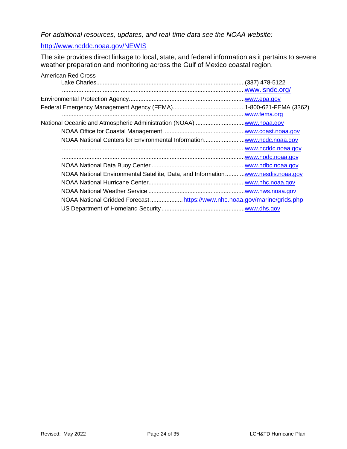*For additional resources, updates, and real-time data see the NOAA website:*

### <http://www.ncddc.noaa.gov/NEWIS>

The site provides direct linkage to local, state, and federal information as it pertains to severe weather preparation and monitoring across the Gulf of Mexico coastal region.

| <b>American Red Cross</b> |                                                                                 |
|---------------------------|---------------------------------------------------------------------------------|
|                           |                                                                                 |
|                           | www.lsndc.org/                                                                  |
|                           |                                                                                 |
|                           |                                                                                 |
|                           |                                                                                 |
|                           |                                                                                 |
|                           |                                                                                 |
|                           |                                                                                 |
|                           |                                                                                 |
|                           |                                                                                 |
|                           |                                                                                 |
|                           | NOAA National Environmental Satellite, Data, and Informationwww.nesdis.noaa.gov |
|                           |                                                                                 |
|                           |                                                                                 |
|                           | NOAA National Gridded Forecast https://www.nhc.noaa.gov/marine/grids.php        |
|                           |                                                                                 |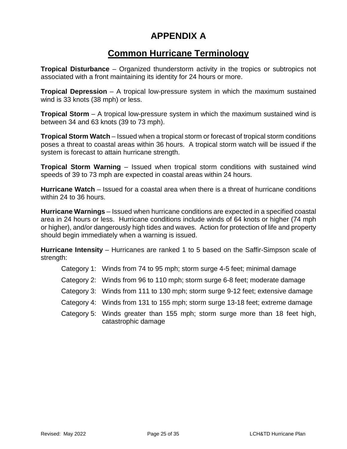## <span id="page-24-0"></span>**APPENDIX A**

## **Common Hurricane Terminology**

**Tropical Disturbance** – Organized thunderstorm activity in the tropics or subtropics not associated with a front maintaining its identity for 24 hours or more.

**Tropical Depression** – A tropical low-pressure system in which the maximum sustained wind is 33 knots (38 mph) or less.

**Tropical Storm** – A tropical low-pressure system in which the maximum sustained wind is between 34 and 63 knots (39 to 73 mph).

**Tropical Storm Watch** – Issued when a tropical storm or forecast of tropical storm conditions poses a threat to coastal areas within 36 hours. A tropical storm watch will be issued if the system is forecast to attain hurricane strength.

**Tropical Storm Warning** – Issued when tropical storm conditions with sustained wind speeds of 39 to 73 mph are expected in coastal areas within 24 hours.

**Hurricane Watch** – Issued for a coastal area when there is a threat of hurricane conditions within 24 to 36 hours.

**Hurricane Warnings** – Issued when hurricane conditions are expected in a specified coastal area in 24 hours or less. Hurricane conditions include winds of 64 knots or higher (74 mph or higher), and/or dangerously high tides and waves. Action for protection of life and property should begin immediately when a warning is issued.

**Hurricane Intensity** – Hurricanes are ranked 1 to 5 based on the Saffir-Simpson scale of strength:

- Category 1: Winds from 74 to 95 mph; storm surge 4-5 feet; minimal damage
- Category 2: Winds from 96 to 110 mph; storm surge 6-8 feet; moderate damage
- Category 3: Winds from 111 to 130 mph; storm surge 9-12 feet; extensive damage
- Category 4: Winds from 131 to 155 mph; storm surge 13-18 feet; extreme damage
- Category 5: Winds greater than 155 mph; storm surge more than 18 feet high, catastrophic damage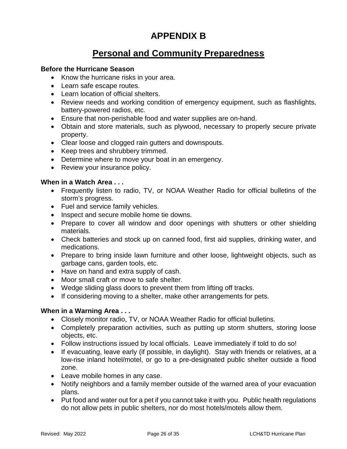## <span id="page-25-0"></span>**APPENDIX B**

## **Personal and Community Preparedness**

#### **Before the Hurricane Season**

- Know the hurricane risks in your area.
- Learn safe escape routes.
- Learn location of official shelters.
- Review needs and working condition of emergency equipment, such as flashlights, battery-powered radios, etc.
- Ensure that non-perishable food and water supplies are on-hand.
- Obtain and store materials, such as plywood, necessary to properly secure private property.
- Clear loose and clogged rain gutters and downspouts.
- Keep trees and shrubbery trimmed.
- Determine where to move your boat in an emergency.
- Review your insurance policy.

#### **When in a Watch Area . . .**

- Frequently listen to radio, TV, or NOAA Weather Radio for official bulletins of the storm's progress.
- Fuel and service family vehicles.
- Inspect and secure mobile home tie downs.
- Prepare to cover all window and door openings with shutters or other shielding materials.
- Check batteries and stock up on canned food, first aid supplies, drinking water, and medications.
- Prepare to bring inside lawn furniture and other loose, lightweight objects, such as garbage cans, garden tools, etc.
- Have on hand and extra supply of cash.
- Moor small craft or move to safe shelter.
- Wedge sliding glass doors to prevent them from lifting off tracks.
- If considering moving to a shelter, make other arrangements for pets.

#### **When in a Warning Area . . .**

- Closely monitor radio, TV, or NOAA Weather Radio for official bulletins.
- Completely preparation activities, such as putting up storm shutters, storing loose objects, etc.
- Follow instructions issued by local officials. Leave immediately if told to do so!
- If evacuating, leave early (if possible, in daylight). Stay with friends or relatives, at a low-rise inland hotel/motel, or go to a pre-designated public shelter outside a flood zone.
- Leave mobile homes in any case.
- Notify neighbors and a family member outside of the warned area of your evacuation plans.
- Put food and water out for a pet if you cannot take it with you. Public health regulations do not allow pets in public shelters, nor do most hotels/motels allow them.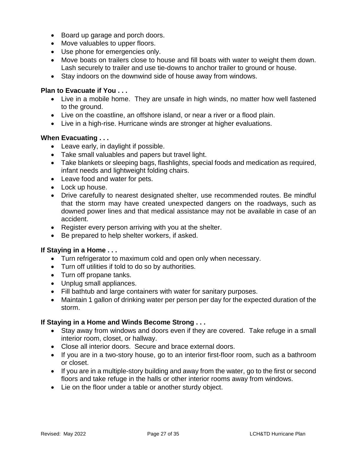- Board up garage and porch doors.
- Move valuables to upper floors.
- Use phone for emergencies only.
- Move boats on trailers close to house and fill boats with water to weight them down. Lash securely to trailer and use tie-downs to anchor trailer to ground or house.
- Stay indoors on the downwind side of house away from windows.

#### **Plan to Evacuate if You . . .**

- Live in a mobile home. They are unsafe in high winds, no matter how well fastened to the ground.
- Live on the coastline, an offshore island, or near a river or a flood plain.
- Live in a high-rise. Hurricane winds are stronger at higher evaluations.

#### **When Evacuating . . .**

- Leave early, in daylight if possible.
- Take small valuables and papers but travel light.
- Take blankets or sleeping bags, flashlights, special foods and medication as required, infant needs and lightweight folding chairs.
- Leave food and water for pets.
- Lock up house.
- Drive carefully to nearest designated shelter, use recommended routes. Be mindful that the storm may have created unexpected dangers on the roadways, such as downed power lines and that medical assistance may not be available in case of an accident.
- Register every person arriving with you at the shelter.
- Be prepared to help shelter workers, if asked.

### **If Staying in a Home . . .**

- Turn refrigerator to maximum cold and open only when necessary.
- Turn off utilities if told to do so by authorities.
- Turn off propane tanks.
- Unplug small appliances.
- Fill bathtub and large containers with water for sanitary purposes.
- Maintain 1 gallon of drinking water per person per day for the expected duration of the storm.

#### **If Staying in a Home and Winds Become Strong . . .**

- Stay away from windows and doors even if they are covered. Take refuge in a small interior room, closet, or hallway.
- Close all interior doors. Secure and brace external doors.
- If you are in a two-story house, go to an interior first-floor room, such as a bathroom or closet.
- If you are in a multiple-story building and away from the water, go to the first or second floors and take refuge in the halls or other interior rooms away from windows.
- Lie on the floor under a table or another sturdy object.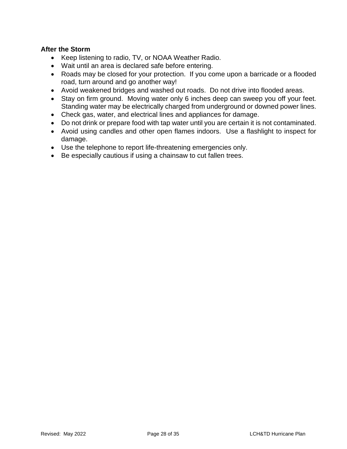#### **After the Storm**

- Keep listening to radio, TV, or NOAA Weather Radio.
- Wait until an area is declared safe before entering.
- Roads may be closed for your protection. If you come upon a barricade or a flooded road, turn around and go another way!
- Avoid weakened bridges and washed out roads. Do not drive into flooded areas.
- Stay on firm ground. Moving water only 6 inches deep can sweep you off your feet. Standing water may be electrically charged from underground or downed power lines.
- Check gas, water, and electrical lines and appliances for damage.
- Do not drink or prepare food with tap water until you are certain it is not contaminated.
- Avoid using candles and other open flames indoors. Use a flashlight to inspect for damage.
- Use the telephone to report life-threatening emergencies only.
- Be especially cautious if using a chainsaw to cut fallen trees.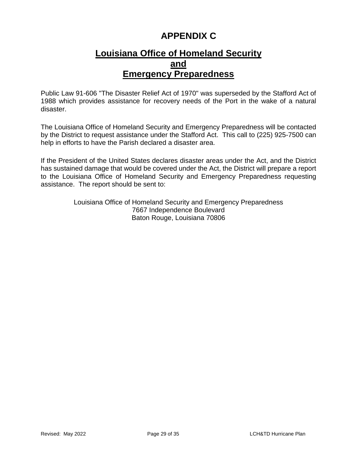## <span id="page-28-0"></span>**APPENDIX C**

## **Louisiana Office of Homeland Security and Emergency Preparedness**

Public Law 91-606 "The Disaster Relief Act of 1970" was superseded by the Stafford Act of 1988 which provides assistance for recovery needs of the Port in the wake of a natural disaster.

The Louisiana Office of Homeland Security and Emergency Preparedness will be contacted by the District to request assistance under the Stafford Act. This call to (225) 925-7500 can help in efforts to have the Parish declared a disaster area.

If the President of the United States declares disaster areas under the Act, and the District has sustained damage that would be covered under the Act, the District will prepare a report to the Louisiana Office of Homeland Security and Emergency Preparedness requesting assistance. The report should be sent to:

> Louisiana Office of Homeland Security and Emergency Preparedness 7667 Independence Boulevard Baton Rouge, Louisiana 70806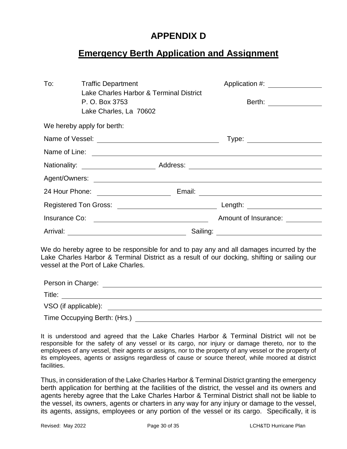## <span id="page-29-0"></span>**APPENDIX D**

## **Emergency Berth Application and Assignment**

| To:                                                                                                                                                                                                                           | <b>Traffic Department</b><br>Lake Charles Harbor & Terminal District<br>P. O. Box 3753<br>Lake Charles, La 70602 |  |  | Application #: <u>______________</u><br>Berth: _______________ |
|-------------------------------------------------------------------------------------------------------------------------------------------------------------------------------------------------------------------------------|------------------------------------------------------------------------------------------------------------------|--|--|----------------------------------------------------------------|
|                                                                                                                                                                                                                               | We hereby apply for berth:                                                                                       |  |  |                                                                |
|                                                                                                                                                                                                                               |                                                                                                                  |  |  | Type: ________________________                                 |
|                                                                                                                                                                                                                               |                                                                                                                  |  |  |                                                                |
|                                                                                                                                                                                                                               |                                                                                                                  |  |  |                                                                |
|                                                                                                                                                                                                                               |                                                                                                                  |  |  |                                                                |
|                                                                                                                                                                                                                               |                                                                                                                  |  |  |                                                                |
|                                                                                                                                                                                                                               |                                                                                                                  |  |  |                                                                |
|                                                                                                                                                                                                                               |                                                                                                                  |  |  |                                                                |
|                                                                                                                                                                                                                               |                                                                                                                  |  |  |                                                                |
| We do hereby agree to be responsible for and to pay any and all damages incurred by the<br>Lake Charles Harbor & Terminal District as a result of our docking, shifting or sailing our<br>vessel at the Port of Lake Charles. |                                                                                                                  |  |  |                                                                |
|                                                                                                                                                                                                                               |                                                                                                                  |  |  |                                                                |
|                                                                                                                                                                                                                               |                                                                                                                  |  |  |                                                                |

VSO (if applicable): Time Occupying Berth: (Hrs.)

It is understood and agreed that the Lake Charles Harbor & Terminal District will not be responsible for the safety of any vessel or its cargo, nor injury or damage thereto, nor to the employees of any vessel, their agents or assigns, nor to the property of any vessel or the property of its employees, agents or assigns regardless of cause or source thereof, while moored at district facilities.

Thus, in consideration of the Lake Charles Harbor & Terminal District granting the emergency berth application for berthing at the facilities of the district, the vessel and its owners and agents hereby agree that the Lake Charles Harbor & Terminal District shall not be liable to the vessel, its owners, agents or charters in any way for any injury or damage to the vessel, its agents, assigns, employees or any portion of the vessel or its cargo. Specifically, it is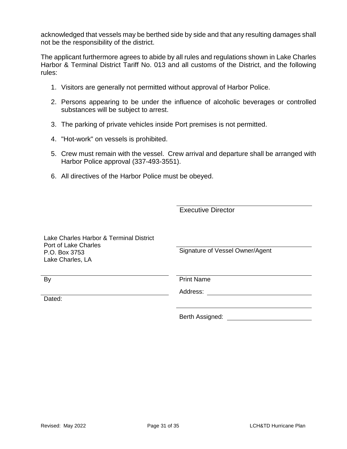acknowledged that vessels may be berthed side by side and that any resulting damages shall not be the responsibility of the district.

The applicant furthermore agrees to abide by all rules and regulations shown in Lake Charles Harbor & Terminal District Tariff No. 013 and all customs of the District, and the following rules:

- 1. Visitors are generally not permitted without approval of Harbor Police.
- 2. Persons appearing to be under the influence of alcoholic beverages or controlled substances will be subject to arrest.
- 3. The parking of private vehicles inside Port premises is not permitted.
- 4. "Hot-work" on vessels is prohibited.
- 5. Crew must remain with the vessel. Crew arrival and departure shall be arranged with Harbor Police approval (337-493-3551).
- 6. All directives of the Harbor Police must be obeyed.

Executive Director

| Lake Charles Harbor & Terminal District<br>Port of Lake Charles |                                 |
|-----------------------------------------------------------------|---------------------------------|
| P.O. Box 3753                                                   | Signature of Vessel Owner/Agent |
| Lake Charles, LA                                                |                                 |
|                                                                 |                                 |
| By                                                              | <b>Print Name</b>               |
|                                                                 | Address:                        |
| Dated:                                                          |                                 |

Berth Assigned: **Example 2018**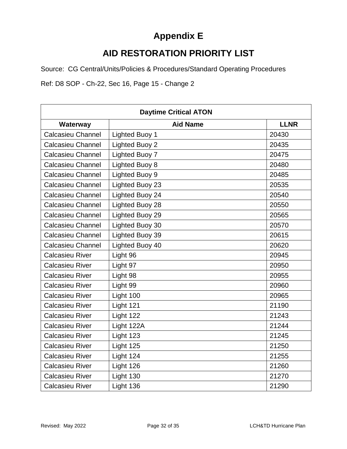## <span id="page-31-0"></span>**Appendix E**

## **AID RESTORATION PRIORITY LIST**

Source: CG Central/Units/Policies & Procedures/Standard Operating Procedures

Ref: D8 SOP - Ch-22, Sec 16, Page 15 - Change 2

| <b>Daytime Critical ATON</b> |                       |             |  |
|------------------------------|-----------------------|-------------|--|
| Waterway                     | <b>Aid Name</b>       | <b>LLNR</b> |  |
| <b>Calcasieu Channel</b>     | <b>Lighted Buoy 1</b> | 20430       |  |
| <b>Calcasieu Channel</b>     | Lighted Buoy 2        | 20435       |  |
| <b>Calcasieu Channel</b>     | Lighted Buoy 7        | 20475       |  |
| <b>Calcasieu Channel</b>     | Lighted Buoy 8        | 20480       |  |
| <b>Calcasieu Channel</b>     | Lighted Buoy 9        | 20485       |  |
| <b>Calcasieu Channel</b>     | Lighted Buoy 23       | 20535       |  |
| <b>Calcasieu Channel</b>     | Lighted Buoy 24       | 20540       |  |
| <b>Calcasieu Channel</b>     | Lighted Buoy 28       | 20550       |  |
| <b>Calcasieu Channel</b>     | Lighted Buoy 29       | 20565       |  |
| <b>Calcasieu Channel</b>     | Lighted Buoy 30       | 20570       |  |
| <b>Calcasieu Channel</b>     | Lighted Buoy 39       | 20615       |  |
| <b>Calcasieu Channel</b>     | Lighted Buoy 40       | 20620       |  |
| <b>Calcasieu River</b>       | Light 96              | 20945       |  |
| <b>Calcasieu River</b>       | Light 97              | 20950       |  |
| <b>Calcasieu River</b>       | Light 98              | 20955       |  |
| <b>Calcasieu River</b>       | Light 99              | 20960       |  |
| <b>Calcasieu River</b>       | Light 100             | 20965       |  |
| <b>Calcasieu River</b>       | Light 121             | 21190       |  |
| <b>Calcasieu River</b>       | Light 122             | 21243       |  |
| <b>Calcasieu River</b>       | Light 122A            | 21244       |  |
| <b>Calcasieu River</b>       | Light 123             | 21245       |  |
| <b>Calcasieu River</b>       | Light 125             | 21250       |  |
| <b>Calcasieu River</b>       | Light 124             | 21255       |  |
| <b>Calcasieu River</b>       | Light 126             | 21260       |  |
| <b>Calcasieu River</b>       | Light 130             | 21270       |  |
| <b>Calcasieu River</b>       | Light 136             | 21290       |  |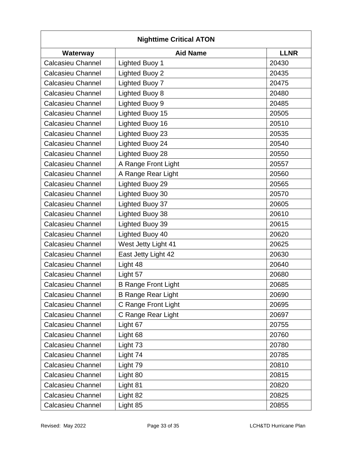| <b>Nighttime Critical ATON</b> |                            |             |  |
|--------------------------------|----------------------------|-------------|--|
| Waterway                       | <b>Aid Name</b>            | <b>LLNR</b> |  |
| <b>Calcasieu Channel</b>       | <b>Lighted Buoy 1</b>      | 20430       |  |
| <b>Calcasieu Channel</b>       | <b>Lighted Buoy 2</b>      | 20435       |  |
| <b>Calcasieu Channel</b>       | <b>Lighted Buoy 7</b>      | 20475       |  |
| <b>Calcasieu Channel</b>       | <b>Lighted Buoy 8</b>      | 20480       |  |
| <b>Calcasieu Channel</b>       | <b>Lighted Buoy 9</b>      | 20485       |  |
| <b>Calcasieu Channel</b>       | Lighted Buoy 15            | 20505       |  |
| <b>Calcasieu Channel</b>       | Lighted Buoy 16            | 20510       |  |
| <b>Calcasieu Channel</b>       | Lighted Buoy 23            | 20535       |  |
| <b>Calcasieu Channel</b>       | Lighted Buoy 24            | 20540       |  |
| <b>Calcasieu Channel</b>       | Lighted Buoy 28            | 20550       |  |
| <b>Calcasieu Channel</b>       | A Range Front Light        | 20557       |  |
| <b>Calcasieu Channel</b>       | A Range Rear Light         | 20560       |  |
| <b>Calcasieu Channel</b>       | Lighted Buoy 29            | 20565       |  |
| <b>Calcasieu Channel</b>       | Lighted Buoy 30            | 20570       |  |
| <b>Calcasieu Channel</b>       | Lighted Buoy 37            | 20605       |  |
| <b>Calcasieu Channel</b>       | Lighted Buoy 38            | 20610       |  |
| Calcasieu Channel              | Lighted Buoy 39            | 20615       |  |
| <b>Calcasieu Channel</b>       | Lighted Buoy 40            | 20620       |  |
| <b>Calcasieu Channel</b>       | West Jetty Light 41        | 20625       |  |
| <b>Calcasieu Channel</b>       | East Jetty Light 42        | 20630       |  |
| <b>Calcasieu Channel</b>       | Light 48                   | 20640       |  |
| <b>Calcasieu Channel</b>       | Light 57                   | 20680       |  |
| Calcasieu Channel              | <b>B Range Front Light</b> | 20685       |  |
| <b>Calcasieu Channel</b>       | <b>B Range Rear Light</b>  | 20690       |  |
| <b>Calcasieu Channel</b>       | C Range Front Light        | 20695       |  |
| <b>Calcasieu Channel</b>       | C Range Rear Light         | 20697       |  |
| <b>Calcasieu Channel</b>       | Light 67                   | 20755       |  |
| <b>Calcasieu Channel</b>       | Light 68                   | 20760       |  |
| <b>Calcasieu Channel</b>       | Light 73                   | 20780       |  |
| <b>Calcasieu Channel</b>       | Light 74                   | 20785       |  |
| <b>Calcasieu Channel</b>       | Light 79                   | 20810       |  |
| <b>Calcasieu Channel</b>       | Light 80                   | 20815       |  |
| <b>Calcasieu Channel</b>       | Light 81                   | 20820       |  |
| <b>Calcasieu Channel</b>       | Light 82                   | 20825       |  |
| <b>Calcasieu Channel</b>       | Light 85                   | 20855       |  |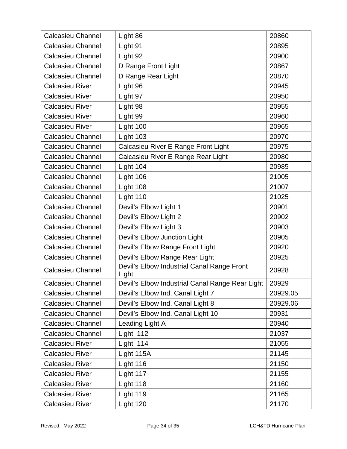| <b>Calcasieu Channel</b> | Light 86                                            | 20860    |
|--------------------------|-----------------------------------------------------|----------|
| <b>Calcasieu Channel</b> | Light 91                                            | 20895    |
| <b>Calcasieu Channel</b> | Light 92                                            | 20900    |
| <b>Calcasieu Channel</b> | D Range Front Light                                 | 20867    |
| <b>Calcasieu Channel</b> | D Range Rear Light                                  | 20870    |
| <b>Calcasieu River</b>   | Light 96                                            | 20945    |
| <b>Calcasieu River</b>   | Light 97                                            | 20950    |
| <b>Calcasieu River</b>   | Light 98                                            | 20955    |
| Calcasieu River          | Light 99                                            | 20960    |
| <b>Calcasieu River</b>   | Light 100                                           | 20965    |
| <b>Calcasieu Channel</b> | Light 103                                           | 20970    |
| <b>Calcasieu Channel</b> | Calcasieu River E Range Front Light                 | 20975    |
| <b>Calcasieu Channel</b> | Calcasieu River E Range Rear Light                  | 20980    |
| <b>Calcasieu Channel</b> | Light 104                                           | 20985    |
| Calcasieu Channel        | Light 106                                           | 21005    |
| <b>Calcasieu Channel</b> | Light 108                                           | 21007    |
| <b>Calcasieu Channel</b> | Light 110                                           | 21025    |
| <b>Calcasieu Channel</b> | Devil's Elbow Light 1                               | 20901    |
| <b>Calcasieu Channel</b> | Devil's Elbow Light 2                               | 20902    |
| <b>Calcasieu Channel</b> | Devil's Elbow Light 3                               | 20903    |
| <b>Calcasieu Channel</b> | Devil's Elbow Junction Light                        | 20905    |
| <b>Calcasieu Channel</b> | Devil's Elbow Range Front Light                     | 20920    |
| Calcasieu Channel        | Devil's Elbow Range Rear Light                      | 20925    |
| <b>Calcasieu Channel</b> | Devil's Elbow Industrial Canal Range Front<br>Light | 20928    |
| <b>Calcasieu Channel</b> | Devil's Elbow Industrial Canal Range Rear Light     | 20929    |
| Calcasieu Channel        | Devil's Elbow Ind. Canal Light 7                    | 20929.05 |
| <b>Calcasieu Channel</b> | Devil's Elbow Ind. Canal Light 8                    | 20929.06 |
| <b>Calcasieu Channel</b> | Devil's Elbow Ind. Canal Light 10                   | 20931    |
| <b>Calcasieu Channel</b> | Leading Light A                                     | 20940    |
| <b>Calcasieu Channel</b> | Light 112                                           | 21037    |
| <b>Calcasieu River</b>   | Light 114                                           | 21055    |
| <b>Calcasieu River</b>   | Light 115A                                          | 21145    |
| <b>Calcasieu River</b>   | Light 116                                           | 21150    |
| <b>Calcasieu River</b>   | Light 117                                           | 21155    |
| <b>Calcasieu River</b>   | Light 118                                           | 21160    |
| <b>Calcasieu River</b>   | Light 119                                           | 21165    |
| <b>Calcasieu River</b>   | Light 120                                           | 21170    |